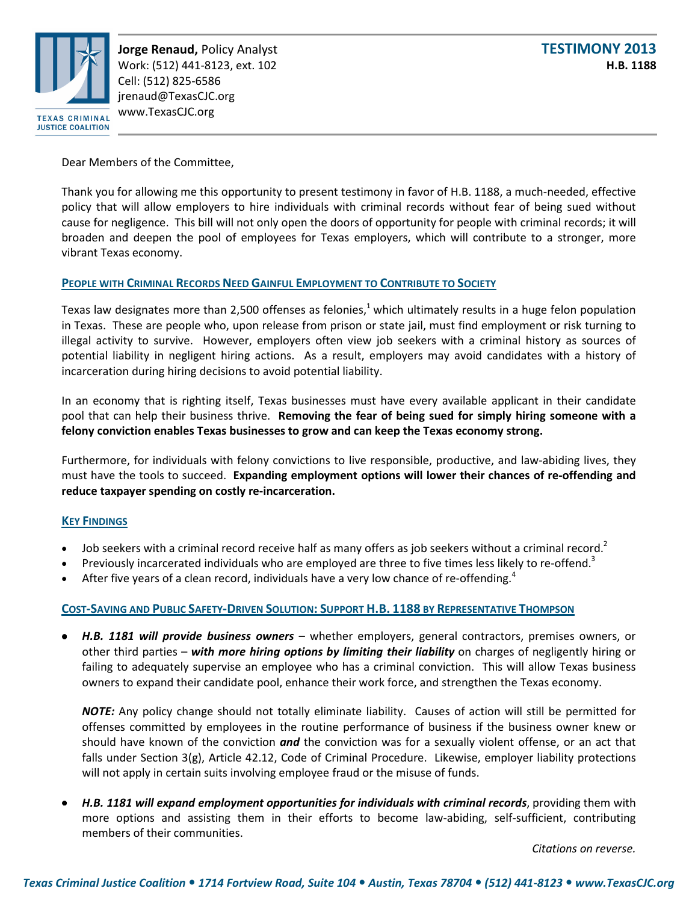

**Jorge Renaud,** Policy Analyst **TESTIMONY 2013**  Work: (512) 441-8123, ext. 102 **H.B. 1188** Cell: (512) 825-6586 jrenaud@TexasCJC.org www.TexasCJC.org

Dear Members of the Committee,

Thank you for allowing me this opportunity to present testimony in favor of H.B. 1188, a much-needed, effective policy that will allow employers to hire individuals with criminal records without fear of being sued without cause for negligence. This bill will not only open the doors of opportunity for people with criminal records; it will broaden and deepen the pool of employees for Texas employers, which will contribute to a stronger, more vibrant Texas economy.

## **PEOPLE WITH CRIMINAL RECORDS NEED GAINFUL EMPLOYMENT TO CONTRIBUTE TO SOCIETY**

Texas law designates more than 2,500 offenses as felonies,<sup>1</sup> which ultimately results in a huge felon population in Texas. These are people who, upon release from prison or state jail, must find employment or risk turning to illegal activity to survive. However, employers often view job seekers with a criminal history as sources of potential liability in negligent hiring actions. As a result, employers may avoid candidates with a history of incarceration during hiring decisions to avoid potential liability.

In an economy that is righting itself, Texas businesses must have every available applicant in their candidate pool that can help their business thrive. **Removing the fear of being sued for simply hiring someone with a felony conviction enables Texas businesses to grow and can keep the Texas economy strong.**

Furthermore, for individuals with felony convictions to live responsible, productive, and law-abiding lives, they must have the tools to succeed. **Expanding employment options will lower their chances of re-offending and reduce taxpayer spending on costly re-incarceration.**

## **KEY FINDINGS**

- Job seekers with a criminal record receive half as many offers as job seekers without a criminal record.<sup>2</sup>
- Previously incarcerated individuals who are employed are three to five times less likely to re-offend.<sup>3</sup>
- After five years of a clean record, individuals have a very low chance of re-offending.<sup>4</sup>

## **COST-SAVING AND PUBLIC SAFETY-DRIVEN SOLUTION: SUPPORT H.B. 1188 BY REPRESENTATIVE THOMPSON**

• *H.B. 1181 will provide business owners* – whether employers, general contractors, premises owners, or other third parties – *with more hiring options by limiting their liability* on charges of negligently hiring or failing to adequately supervise an employee who has a criminal conviction. This will allow Texas business owners to expand their candidate pool, enhance their work force, and strengthen the Texas economy.

*NOTE:* Any policy change should not totally eliminate liability. Causes of action will still be permitted for offenses committed by employees in the routine performance of business if the business owner knew or should have known of the conviction *and* the conviction was for a sexually violent offense, or an act that falls under Section 3(g), Article 42.12, Code of Criminal Procedure. Likewise, employer liability protections will not apply in certain suits involving employee fraud or the misuse of funds.

• *H.B. 1181 will expand employment opportunities for individuals with criminal records*, providing them with more options and assisting them in their efforts to become law-abiding, self-sufficient, contributing members of their communities.

*Citations on reverse.*